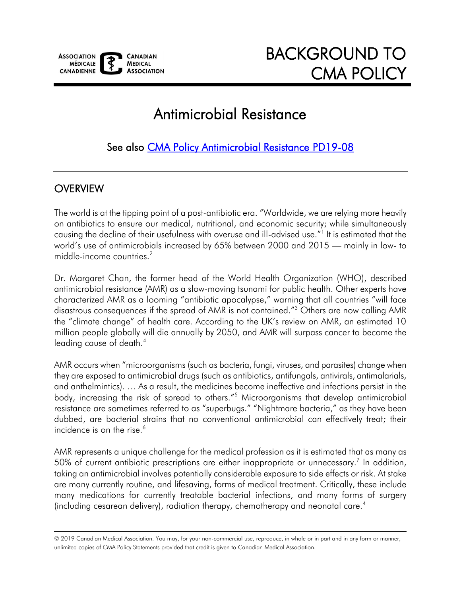

# Antimicrobial Resistance

See also [CMA Policy Antimicrobial Resistance PD19-08](https://toolkit.cma.ca/en/permalink/policy14079) 

#### **OVERVIEW**

The world is at the tipping point of a post-antibiotic era. "Worldwide, we are relying more heavily on antibiotics to ensure our medical, nutritional, and economic security; while simultaneously causing the decline of their usefulness with overuse and ill-advised use."<sup>1</sup> It is estimated that the world's use of antimicrobials increased by 65% between 2000 and 2015 — mainly in low- to middle-income countries.<sup>2</sup>

Dr. Margaret Chan, the former head of the World Health Organization (WHO), described antimicrobial resistance (AMR) as a slow-moving tsunami for public health. Other experts have characterized AMR as a looming "antibiotic apocalypse," warning that all countries "will face disastrous consequences if the spread of AMR is not contained."<sup>3</sup> Others are now calling AMR the "climate change" of health care. According to the UK's review on AMR, an estimated 10 million people globally will die annually by 2050, and AMR will surpass cancer to become the leading cause of death.<sup>4</sup>

AMR occurs when "microorganisms (such as bacteria, fungi, viruses, and parasites) change when they are exposed to antimicrobial drugs (such as antibiotics, antifungals, antivirals, antimalarials, and anthelmintics). … As a result, the medicines become ineffective and infections persist in the body, increasing the risk of spread to others."<sup>5</sup> Microorganisms that develop antimicrobial resistance are sometimes referred to as "superbugs." "Nightmare bacteria," as they have been dubbed, are bacterial strains that no conventional antimicrobial can effectively treat; their incidence is on the rise. $6$ 

AMR represents a unique challenge for the medical profession as it is estimated that as many as 50% of current antibiotic prescriptions are either inappropriate or unnecessary.<sup>7</sup> In addition, taking an antimicrobial involves potentially considerable exposure to side effects or risk. At stake are many currently routine, and lifesaving, forms of medical treatment. Critically, these include many medications for currently treatable bacterial infections, and many forms of surgery (including cesarean delivery), radiation therapy, chemotherapy and neonatal care.<sup>4</sup>

<sup>© 2019</sup> Canadian Medical Association. You may, for your non-commercial use, reproduce, in whole or in part and in any form or manner, unlimited copies of CMA Policy Statements provided that credit is given to Canadian Medical Association.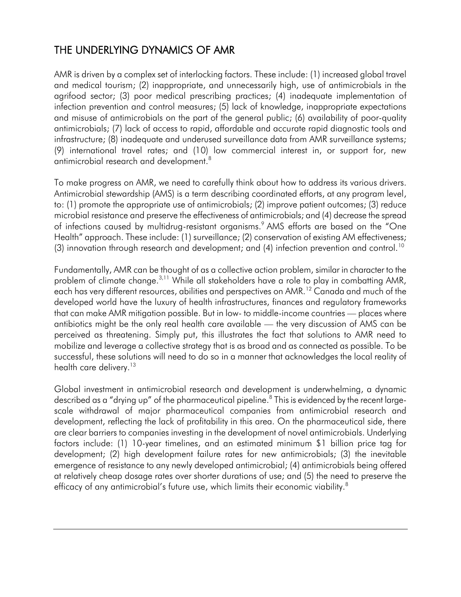### THE UNDERLYING DYNAMICS OF AMR

AMR is driven by a complex set of interlocking factors. These include: (1) increased global travel and medical tourism; (2) inappropriate, and unnecessarily high, use of antimicrobials in the agrifood sector; (3) poor medical prescribing practices; (4) inadequate implementation of infection prevention and control measures; (5) lack of knowledge, inappropriate expectations and misuse of antimicrobials on the part of the general public; (6) availability of poor-quality antimicrobials; (7) lack of access to rapid, affordable and accurate rapid diagnostic tools and infrastructure; (8) inadequate and underused surveillance data from AMR surveillance systems; (9) international travel rates; and (10) low commercial interest in, or support for, new antimicrobial research and development.<sup>8</sup>

To make progress on AMR, we need to carefully think about how to address its various drivers. Antimicrobial stewardship (AMS) is a term describing coordinated efforts, at any program level, to: (1) promote the appropriate use of antimicrobials; (2) improve patient outcomes; (3) reduce microbial resistance and preserve the effectiveness of antimicrobials; and (4) decrease the spread of infections caused by multidrug-resistant organisms.<sup>9</sup> AMS efforts are based on the "One Health" approach. These include: (1) surveillance; (2) conservation of existing AM effectiveness; (3) innovation through research and development; and  $(4)$  infection prevention and control.<sup>10</sup>

Fundamentally, AMR can be thought of as a collective action problem, similar in character to the problem of climate change.<sup>3,11</sup> While all stakeholders have a role to play in combatting AMR, each has very different resources, abilities and perspectives on AMR.<sup>12</sup> Canada and much of the developed world have the luxury of health infrastructures, finances and regulatory frameworks that can make AMR mitigation possible. But in low- to middle-income countries — places where antibiotics might be the only real health care available — the very discussion of AMS can be perceived as threatening. Simply put, this illustrates the fact that solutions to AMR need to mobilize and leverage a collective strategy that is as broad and as connected as possible. To be successful, these solutions will need to do so in a manner that acknowledges the local reality of health care delivery.<sup>13</sup>

Global investment in antimicrobial research and development is underwhelming, a dynamic described as a "drying up" of the pharmaceutical pipeline.<sup>8</sup> This is evidenced by the recent largescale withdrawal of major pharmaceutical companies from antimicrobial research and development, reflecting the lack of profitability in this area. On the pharmaceutical side, there are clear barriers to companies investing in the development of novel antimicrobials. Underlying factors include: (1) 10-year timelines, and an estimated minimum \$1 billion price tag for development; (2) high development failure rates for new antimicrobials; (3) the inevitable emergence of resistance to any newly developed antimicrobial; (4) antimicrobials being offered at relatively cheap dosage rates over shorter durations of use; and (5) the need to preserve the efficacy of any antimicrobial's future use, which limits their economic viability.<sup>8</sup>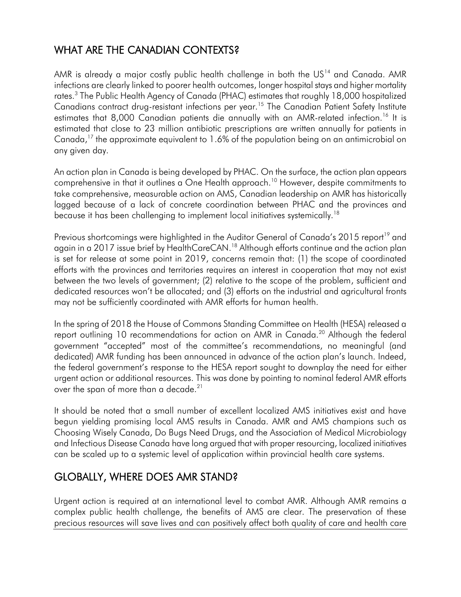## WHAT ARE THE CANADIAN CONTEXTS?

AMR is already a major costly public health challenge in both the  $US<sup>14</sup>$  and Canada. AMR infections are clearly linked to poorer health outcomes, longer hospital stays and higher mortality rates.<sup>3</sup> The Public Health Agency of Canada (PHAC) estimates that roughly 18,000 hospitalized Canadians contract drug-resistant infections per year.<sup>15</sup> The Canadian Patient Safety Institute estimates that 8,000 Canadian patients die annually with an AMR-related infection.<sup>16</sup> It is estimated that close to 23 million antibiotic prescriptions are written annually for patients in Canada,<sup>17</sup> the approximate equivalent to 1.6% of the population being on an antimicrobial on any given day.

An action plan in Canada is being developed by PHAC. On the surface, the action plan appears comprehensive in that it outlines a One Health approach.<sup>10</sup> However, despite commitments to take comprehensive, measurable action on AMS, Canadian leadership on AMR has historically lagged because of a lack of concrete coordination between PHAC and the provinces and because it has been challenging to implement local initiatives systemically.<sup>18</sup>

Previous shortcomings were highlighted in the Auditor General of Canada's 2015 report<sup>19</sup> and again in a 2017 issue brief by HealthCareCAN.<sup>18</sup> Although efforts continue and the action plan is set for release at some point in 2019, concerns remain that: (1) the scope of coordinated efforts with the provinces and territories requires an interest in cooperation that may not exist between the two levels of government; (2) relative to the scope of the problem, sufficient and dedicated resources won't be allocated; and (3) efforts on the industrial and agricultural fronts may not be sufficiently coordinated with AMR efforts for human health.

In the spring of 2018 the House of Commons Standing Committee on Health (HESA) released a report outlining 10 recommendations for action on AMR in Canada.<sup>20</sup> Although the federal government "accepted" most of the committee's recommendations, no meaningful (and dedicated) AMR funding has been announced in advance of the action plan's launch. Indeed, the federal government's response to the HESA report sought to downplay the need for either urgent action or additional resources. This was done by pointing to nominal federal AMR efforts over the span of more than a decade.<sup>21</sup>

It should be noted that a small number of excellent localized AMS initiatives exist and have begun yielding promising local AMS results in Canada. AMR and AMS champions such as Choosing Wisely Canada, Do Bugs Need Drugs, and the Association of Medical Microbiology and Infectious Disease Canada have long argued that with proper resourcing, localized initiatives can be scaled up to a systemic level of application within provincial health care systems.

### GLOBALLY, WHERE DOES AMR STAND?

Urgent action is required at an international level to combat AMR. Although AMR remains a complex public health challenge, the benefits of AMS are clear. The preservation of these precious resources will save lives and can positively affect both quality of care and health care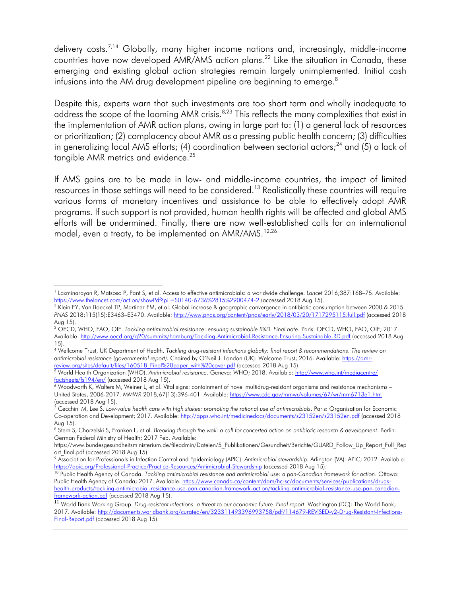delivery costs.<sup>7,14</sup> Globally, many higher income nations and, increasingly, middle-income countries have now developed AMR/AMS action plans.<sup>22</sup> Like the situation in Canada, these emerging and existing global action strategies remain largely unimplemented. Initial cash infusions into the AM drug development pipeline are beginning to emerge.<sup>8</sup>

Despite this, experts warn that such investments are too short term and wholly inadequate to address the scope of the looming AMR crisis.<sup>8,23</sup> This reflects the many complexities that exist in the implementation of AMR action plans, owing in large part to: (1) a general lack of resources or prioritization; (2) complacency about AMR as a pressing public health concern; (3) difficulties in generalizing local AMS efforts; (4) coordination between sectorial actors;<sup>24</sup> and (5) a lack of tangible AMR metrics and evidence.<sup>25</sup>

If AMS gains are to be made in low- and middle-income countries, the impact of limited resources in those settings will need to be considered.<sup>13</sup> Realistically these countries will require various forms of monetary incentives and assistance to be able to effectively adopt AMR programs. If such support is not provided, human health rights will be affected and global AMS efforts will be undermined. Finally, there are now well-established calls for an international model, even a treaty, to be implemented on AMR/AMS.<sup>12,26</sup>

 $\overline{a}$ 1 Laxminarayan R, Matsoso P, Pant S, et al. Access to effective antimicrobials: a worldwide challenge. *Lancet* 2016;387:168–75. Available: <https://www.thelancet.com/action/showPdf?pii=S0140-6736%2815%2900474-2> (accessed 2018 Aug 15).

<sup>&</sup>lt;sup>2</sup> Klein EY, Van Boeckel TP, Martinez EM, et al. Global increase & geographic convergence in antibiotic consumption between 2000 & 2015. *PNAS* 2018;115(15):E3463–E3470. Available: [http://www.pnas.org/content/pnas/early/2018/03/20/1717295115.full.pdf](http://www.pnas.org/content/pnas/early/‌2018/03/20/‌1717295115.‌full.pdf) (accessed 2018 Aug 15).

<sup>3</sup> OECD, WHO, FAO, OIE. *Tackling antimicrobial resistance: ensuring sustainable R&D. Final note*. Paris: OECD, WHO, FAO, OIE; 2017. Available:<http://www.oecd.org/g20/summits/hamburg/Tackling-Antimicrobial-Resistance-Ensuring-Sustainable-RD.pdf> (accessed 2018 Aug 15).

<sup>4</sup> Wellcome Trust, UK Department of Health. *Tackling drug-resistant infections globally: final report & recommendations*. *The review on antimicrobial resistance (governmental report).* Chaired by O'Neil J. London (UK): Welcome Trust; 2016. Available: [https://amr](https://amr-review.org/sites/default/files/160518_Final%20paper_with%20cover.pdf)[review.org/sites/default/files/160518\\_Final%20paper\\_with%20cover.pdf](https://amr-review.org/sites/default/files/160518_Final%20paper_with%20cover.pdf) (accessed 2018 Aug 15).

<sup>5</sup> World Health Organization (WHO). *Antimicrobial resistance*. Geneva: WHO; 2018. Available: [http://www.who.int/mediacentre/](http://www.who.int/mediacentre/‌factsheets/fs194/en/) [factsheets/fs194/en/](http://www.who.int/mediacentre/‌factsheets/fs194/en/) (accessed 2018 Aug 15).

<sup>6</sup> Woodworth K, Walters M, Weiner L, et al. Vital signs: containment of novel multidrug-resistant organisms and resistance mechanisms – United States, 2006-2017. *MMWR* 2018;67(13):396-401. Available[: https://www.cdc.gov/mmwr/volumes/67/wr/mm6713e1.htm](https://www.cdc.gov/mmwr/volumes/67/wr/mm6713e1.htm) (accessed 2018 Aug 15).

<sup>&</sup>lt;sup>7</sup> Cecchini M, Lee S. Low-value health care with high stakes: promoting the rational use of antimicrobials. Paris: Organisation for Economic Co-operation and Development; 2017. Available: [http://apps.who.int/medicinedocs/documents/s23152en/s23152en.pdf](http://apps.who.int/medicinedocs/‌documents/s23152en/‌s23152en.pdf) (accessed 2018 Aug 15).

<sup>8</sup> Stern S, Chorzelski S, Franken L, et al. *Breaking through the wall: a call for concerted action on antibiotic research & development*. Berlin: German Federal Ministry of Health; 2017 Feb. Available:

https://www.bundesgesundheitsministerium.de/fileadmin/Dateien/5\_Publikationen/Gesundheit/Berichte/GUARD\_Follow\_Up\_Report\_Full\_Rep ort\_final.pdf (accessed 2018 Aug 15).

<sup>9</sup> Association for Professionals in Infection Control and Epidemiology (APIC). *Antimicrobial stewardship.* Arlington (VA): APIC; 2012. Available: <https://apic.org/Professional-Practice/Practice-Resources/Antimicrobial-Stewardship> (accessed 2018 Aug 15).

<sup>10</sup> Public Health Agency of Canada. *Tackling antimicrobial resistance and antimicrobial use: a pan-Canadian framework for action*. Ottawa: Public Health Agency of Canada; 2017. Available[: https://www.canada.ca/content/dam/hc-sc/documents/services/publications/drugs](https://www.canada.ca/content/dam/hc-sc/documents/‌services/‌publications‌/drugs-health-products/tackling-antimicrobial-resistance-use-pan-canadian-framework-action/tackling-antimicrobial-resistance-use-pan-canadian-framework-action.pdf)[health-products/tackling-antimicrobial-resistance-use-pan-canadian-framework-action/tackling-antimicrobial-resistance-use-pan-canadian](https://www.canada.ca/content/dam/hc-sc/documents/‌services/‌publications‌/drugs-health-products/tackling-antimicrobial-resistance-use-pan-canadian-framework-action/tackling-antimicrobial-resistance-use-pan-canadian-framework-action.pdf)[framework-action.pdf](https://www.canada.ca/content/dam/hc-sc/documents/‌services/‌publications‌/drugs-health-products/tackling-antimicrobial-resistance-use-pan-canadian-framework-action/tackling-antimicrobial-resistance-use-pan-canadian-framework-action.pdf) (accessed 2018 Aug 15).

<sup>11</sup> World Bank Working Group. *Drug-resistant infections: a threat to our economic future. Final report*. Washington (DC): The World Bank; 2017. Available: [http://documents.worldbank.org/curated/en/323311493396993758/pdf/114679-REVISED-v2-Drug-Resistant-Infections-](http://documents.worldbank.org/curated/en/323311493396993758/pdf/114679-REVISED-v2-Drug-Resistant-Infections-Final-Report.pdf)[Final-Report.pdf](http://documents.worldbank.org/curated/en/323311493396993758/pdf/114679-REVISED-v2-Drug-Resistant-Infections-Final-Report.pdf) (accessed 2018 Aug 15).